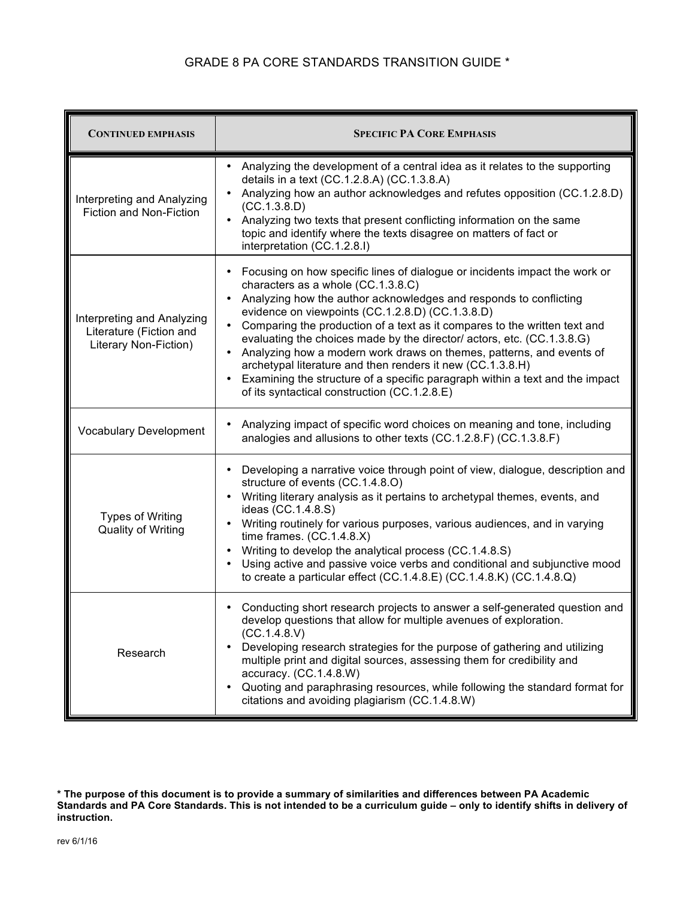## GRADE 8 PA CORE STANDARDS TRANSITION GUIDE \*

| <b>CONTINUED EMPHASIS</b>                                                      | <b>SPECIFIC PA CORE EMPHASIS</b>                                                                                                                                                                                                                                                                                                                                                                                                                                                                                                                                                                                                                                                                                           |
|--------------------------------------------------------------------------------|----------------------------------------------------------------------------------------------------------------------------------------------------------------------------------------------------------------------------------------------------------------------------------------------------------------------------------------------------------------------------------------------------------------------------------------------------------------------------------------------------------------------------------------------------------------------------------------------------------------------------------------------------------------------------------------------------------------------------|
| Interpreting and Analyzing<br>Fiction and Non-Fiction                          | Analyzing the development of a central idea as it relates to the supporting<br>details in a text (CC.1.2.8.A) (CC.1.3.8.A)<br>Analyzing how an author acknowledges and refutes opposition (CC.1.2.8.D)<br>(CC.1.3.8.D)<br>Analyzing two texts that present conflicting information on the same<br>$\bullet$<br>topic and identify where the texts disagree on matters of fact or<br>interpretation (CC.1.2.8.I)                                                                                                                                                                                                                                                                                                            |
| Interpreting and Analyzing<br>Literature (Fiction and<br>Literary Non-Fiction) | Focusing on how specific lines of dialogue or incidents impact the work or<br>$\bullet$<br>characters as a whole (CC.1.3.8.C)<br>Analyzing how the author acknowledges and responds to conflicting<br>$\bullet$<br>evidence on viewpoints (CC.1.2.8.D) (CC.1.3.8.D)<br>Comparing the production of a text as it compares to the written text and<br>$\bullet$<br>evaluating the choices made by the director/ actors, etc. (CC.1.3.8.G)<br>Analyzing how a modern work draws on themes, patterns, and events of<br>archetypal literature and then renders it new (CC.1.3.8.H)<br>Examining the structure of a specific paragraph within a text and the impact<br>$\bullet$<br>of its syntactical construction (CC.1.2.8.E) |
| <b>Vocabulary Development</b>                                                  | Analyzing impact of specific word choices on meaning and tone, including<br>analogies and allusions to other texts (CC.1.2.8.F) (CC.1.3.8.F)                                                                                                                                                                                                                                                                                                                                                                                                                                                                                                                                                                               |
| <b>Types of Writing</b><br><b>Quality of Writing</b>                           | Developing a narrative voice through point of view, dialogue, description and<br>$\bullet$<br>structure of events (CC.1.4.8.O)<br>Writing literary analysis as it pertains to archetypal themes, events, and<br>$\bullet$<br>ideas (CC.1.4.8.S)<br>Writing routinely for various purposes, various audiences, and in varying<br>time frames. (CC.1.4.8.X)<br>Writing to develop the analytical process (CC.1.4.8.S)<br>$\bullet$<br>Using active and passive voice verbs and conditional and subjunctive mood<br>$\bullet$<br>to create a particular effect (CC.1.4.8.E) (CC.1.4.8.K) (CC.1.4.8.Q)                                                                                                                         |
| Research                                                                       | Conducting short research projects to answer a self-generated question and<br>develop questions that allow for multiple avenues of exploration.<br>(CC.1.4.8.V)<br>Developing research strategies for the purpose of gathering and utilizing<br>multiple print and digital sources, assessing them for credibility and<br>accuracy. (CC.1.4.8.W)<br>Quoting and paraphrasing resources, while following the standard format for<br>$\bullet$<br>citations and avoiding plagiarism (CC.1.4.8.W)                                                                                                                                                                                                                             |

**<sup>\*</sup> The purpose of this document is to provide a summary of similarities and differences between PA Academic Standards and PA Core Standards. This is not intended to be a curriculum guide – only to identify shifts in delivery of instruction.**